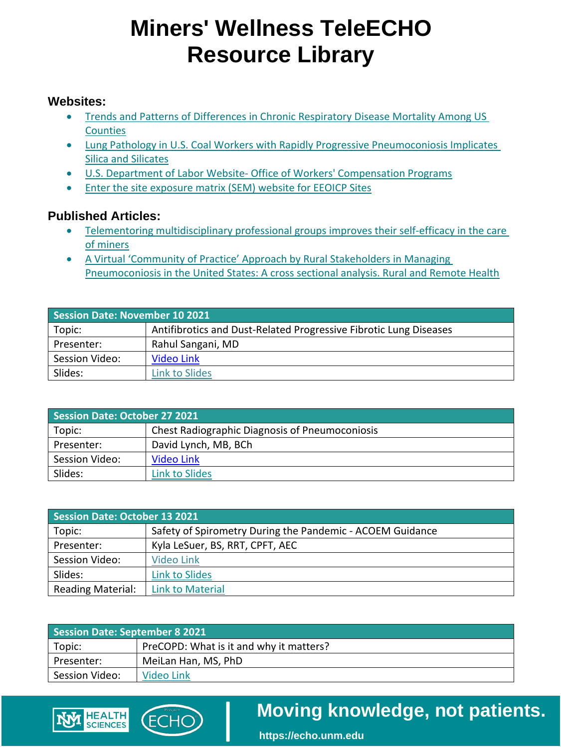### **Miners' Wellness TeleECHO Resource Library**

#### **Websites:**

- Trends and Patterns of Differences in Chronic Respiratory Disease Mortality Among US **Counties**
- Lung Pathology in U.S. Coal Workers with Rapidly Progressive Pneumoconiosis Implicates [Silica and Silicates](http://r20.rs6.net/tn.jsp?f=001CY0veBBGe4CiyxggmpZ63DG-dZEbrvPJVxXVXzBCUDjMUAVHjHN8ooOyyqgk_2C8ujrKiCFbDPFusL6tpN3JKcDL0z486mZCTyCiKXmVh3NyggqKxVHNnt7XVNVd_9hqc2bo-T2LgZ-XbAeVSefje3iNQWGF-PsCeRGFpFqLgbqjRHEfGgVFVTeFydNE1Wq9WX-Pu5XUDGfLYFzOz3hvdP3Hs4DySAei&c=SycKmttMNMSStVeR-argh4s0Koobq_74RzR9GG0urGpjG7WyxmL4mQ==&ch=3ZXbncQNG4kNFBXH2f8mEoNIMD2mdjLYl7RDRjmuBmAVTXb5PFcmrA==)
- U.S. Department of Labor Website- Office of Workers' Compensation Programs
- [Enter the site exposure matrix \(SEM\) website for EEOICP Sites](https://www.sem.dol.gov/expanded/index.cfm)

#### **Published Articles:**

**HEALTH SCIENCES** 

- Telementoring multidisciplinary professional groups improves their self-efficacy in the care [of miners](https://www.atsjournals.org/doi/full/10.34197/ats-scholar.2020-0073OC)
- [A Virtual 'Community of Practice' Approach by Rural Stakeholders in Managing](https://www.rrh.org.au/journal/article/5784)  [Pneumoconiosis in the United States: A cross sectional analysis. Rural and Remote Health](https://www.rrh.org.au/journal/article/5784)

| <b>Session Date: November 10 2021</b> |                                                                   |
|---------------------------------------|-------------------------------------------------------------------|
| Topic:                                | Antifibrotics and Dust-Related Progressive Fibrotic Lung Diseases |
| Presenter:                            | Rahul Sangani, MD                                                 |
| Session Video:                        | Video Link                                                        |
| Slides:                               | Link to Slides                                                    |

| Session Date: October 27 2021 |                                                       |
|-------------------------------|-------------------------------------------------------|
| Topic:                        | <b>Chest Radiographic Diagnosis of Pneumoconiosis</b> |
| Presenter:                    | David Lynch, MB, BCh                                  |
| Session Video:                | Video Link                                            |
| Slides:                       | Link to Slides                                        |

| <b>Session Date: October 13 2021</b> |                                                           |
|--------------------------------------|-----------------------------------------------------------|
| Topic:                               | Safety of Spirometry During the Pandemic - ACOEM Guidance |
| Presenter:                           | Kyla LeSuer, BS, RRT, CPFT, AEC                           |
| Session Video:                       | Video Link                                                |
| Slides:                              | Link to Slides                                            |
| <b>Reading Material:</b>             | <b>Link to Material</b>                                   |

| <b>Session Date: September 8 2021</b> |                                         |
|---------------------------------------|-----------------------------------------|
| Topic:                                | PreCOPD: What is it and why it matters? |
| Presenter:                            | MeiLan Han, MS, PhD                     |
| Session Video:                        | Video Link                              |
|                                       |                                         |

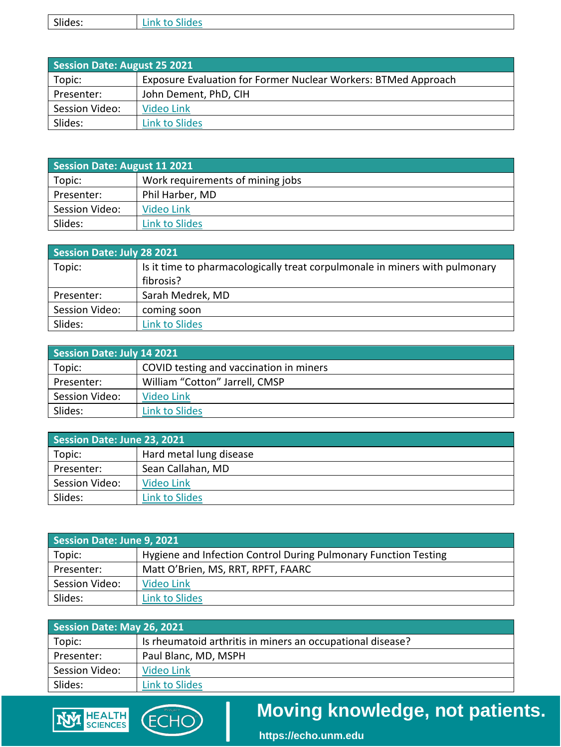| Slides:<br>.<br>`'''' |
|-----------------------|
|-----------------------|

| <b>Session Date: August 25 2021</b> |                                                                |
|-------------------------------------|----------------------------------------------------------------|
| Topic:                              | Exposure Evaluation for Former Nuclear Workers: BTMed Approach |
| Presenter:                          | John Dement, PhD, CIH                                          |
| Session Video:                      | Video Link                                                     |
| Slides:                             | Link to Slides                                                 |

| Session Date: August 11 2021 |                                  |
|------------------------------|----------------------------------|
| Topic:                       | Work requirements of mining jobs |
| Presenter:                   | Phil Harber, MD                  |
| Session Video:               | Video Link                       |
| Slides:                      | Link to Slides                   |

| Session Date: July 28 2021 |                                                                             |
|----------------------------|-----------------------------------------------------------------------------|
| Topic:                     | Is it time to pharmacologically treat corpulmonale in miners with pulmonary |
|                            | fibrosis?                                                                   |
| Presenter:                 | Sarah Medrek, MD                                                            |
| Session Video:             | coming soon                                                                 |
| Slides:                    | <b>Link to Slides</b>                                                       |

| Session Date: July 14 2021 |                                         |
|----------------------------|-----------------------------------------|
| Topic:                     | COVID testing and vaccination in miners |
| Presenter:                 | William "Cotton" Jarrell, CMSP          |
| Session Video:             | Video Link                              |
| Slides:                    | Link to Slides                          |

| Session Date: June 23, 2021 |                         |
|-----------------------------|-------------------------|
| Topic:                      | Hard metal lung disease |
| Presenter:                  | Sean Callahan, MD       |
| Session Video:              | Video Link              |
| Slides:                     | Link to Slides          |

| Session Date: June 9, 2021 |                                                                 |
|----------------------------|-----------------------------------------------------------------|
| Topic:                     | Hygiene and Infection Control During Pulmonary Function Testing |
| Presenter:                 | Matt O'Brien, MS, RRT, RPFT, FAARC                              |
| Session Video:             | Video Link                                                      |
| Slides:                    | <b>Link to Slides</b>                                           |

| Session Date: May 26, 2021 |                                                            |
|----------------------------|------------------------------------------------------------|
| Topic:                     | Is rheumatoid arthritis in miners an occupational disease? |
| Presenter:                 | Paul Blanc, MD, MSPH                                       |
| Session Video:             | Video Link                                                 |
| Slides:                    | Link to Slides                                             |



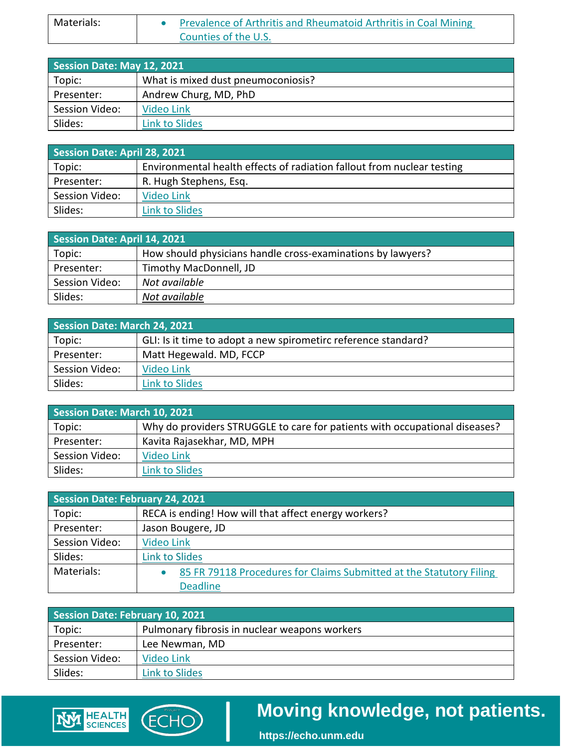| Materials: | Prevalence of Arthritis and Rheumatoid Arthritis in Coal Mining |
|------------|-----------------------------------------------------------------|
|            | Counties of the U.S.                                            |

| Session Date: May 12, 2021 |                                    |  |
|----------------------------|------------------------------------|--|
| Topic:                     | What is mixed dust pneumoconiosis? |  |
| Presenter:                 | Andrew Churg, MD, PhD              |  |
| Session Video:             | Video Link                         |  |
| Slides:                    | Link to Slides                     |  |

| Session Date: April 28, 2021 |                                                                        |  |
|------------------------------|------------------------------------------------------------------------|--|
| Topic:                       | Environmental health effects of radiation fallout from nuclear testing |  |
| Presenter:                   | R. Hugh Stephens, Esq.                                                 |  |
| Session Video:               | Video Link                                                             |  |
| Slides:                      | <b>Link to Slides</b>                                                  |  |

| Session Date: April 14, 2021 |                                                             |  |
|------------------------------|-------------------------------------------------------------|--|
| Topic:                       | How should physicians handle cross-examinations by lawyers? |  |
| Presenter:                   | Timothy MacDonnell, JD                                      |  |
| Session Video:               | Not available                                               |  |
| Slides:                      | Not available                                               |  |

| <b>Session Date: March 24, 2021</b> |                                                                |  |
|-------------------------------------|----------------------------------------------------------------|--|
| Topic:                              | GLI: Is it time to adopt a new spirometirc reference standard? |  |
| Presenter:                          | Matt Hegewald. MD, FCCP                                        |  |
| Session Video:                      | Video Link                                                     |  |
| Slides:                             | Link to Slides                                                 |  |

| Session Date: March 10, 2021 |                                                                            |  |
|------------------------------|----------------------------------------------------------------------------|--|
| Topic:                       | Why do providers STRUGGLE to care for patients with occupational diseases? |  |
| Presenter:                   | Kavita Rajasekhar, MD, MPH                                                 |  |
| Session Video:               | Video Link                                                                 |  |
| Slides:                      | Link to Slides                                                             |  |

| Session Date: February 24, 2021 |                                                                                  |  |
|---------------------------------|----------------------------------------------------------------------------------|--|
| Topic:                          | RECA is ending! How will that affect energy workers?                             |  |
| Presenter:                      | Jason Bougere, JD                                                                |  |
| Session Video:                  | <b>Video Link</b>                                                                |  |
| Slides:                         | ink to Slides                                                                    |  |
| Materials:                      | 85 FR 79118 Procedures for Claims Submitted at the Statutory Filing<br>$\bullet$ |  |
|                                 | <b>Deadline</b>                                                                  |  |

| <b>Session Date: February 10, 2021</b> |                                               |  |
|----------------------------------------|-----------------------------------------------|--|
| Topic:                                 | Pulmonary fibrosis in nuclear weapons workers |  |
| Presenter:                             | Lee Newman, MD                                |  |
| Session Video:                         | Video Link                                    |  |
| Slides:                                | Link to Slides                                |  |

**ECHO** 

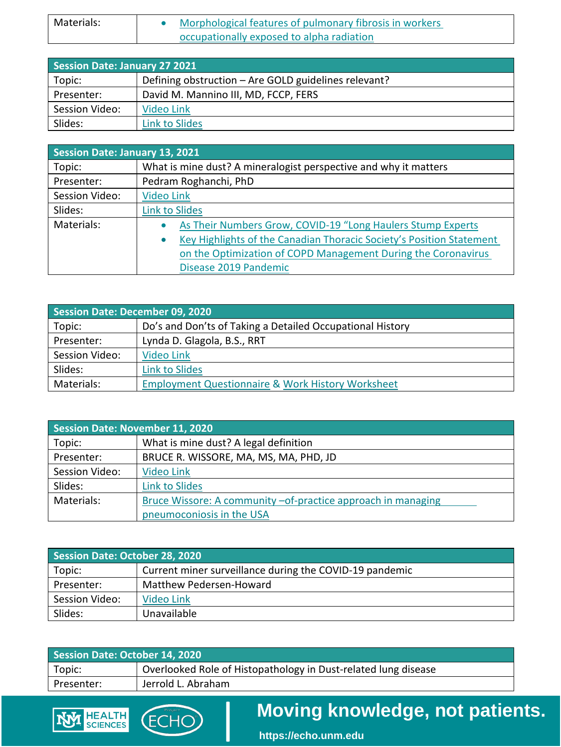| Materials: | Morphological features of pulmonary fibrosis in workers |
|------------|---------------------------------------------------------|
|            | occupationally exposed to alpha radiation               |

| <b>Session Date: January 27 2021</b> |                                                      |  |
|--------------------------------------|------------------------------------------------------|--|
| Topic:                               | Defining obstruction - Are GOLD guidelines relevant? |  |
| Presenter:                           | David M. Mannino III, MD, FCCP, FERS                 |  |
| Session Video:                       | Video Link                                           |  |
| Slides:                              | Link to Slides                                       |  |

| Session Date: January 13, 2021 |                                                                                   |  |
|--------------------------------|-----------------------------------------------------------------------------------|--|
| Topic:                         | What is mine dust? A mineralogist perspective and why it matters                  |  |
| Presenter:                     | Pedram Roghanchi, PhD                                                             |  |
| Session Video:                 | <b>Video Link</b>                                                                 |  |
| Slides:                        | <b>Link to Slides</b>                                                             |  |
| Materials:                     | As Their Numbers Grow, COVID-19 "Long Haulers Stump Experts<br>$\bullet$          |  |
|                                | Key Highlights of the Canadian Thoracic Society's Position Statement<br>$\bullet$ |  |
|                                | on the Optimization of COPD Management During the Coronavirus                     |  |
|                                | Disease 2019 Pandemic                                                             |  |

| <b>Session Date: December 09, 2020</b> |                                                              |  |
|----------------------------------------|--------------------------------------------------------------|--|
| Topic:                                 | Do's and Don'ts of Taking a Detailed Occupational History    |  |
| Presenter:                             | Lynda D. Glagola, B.S., RRT                                  |  |
| Session Video:                         | <b>Video Link</b>                                            |  |
| Slides:                                | Link to Slides                                               |  |
| Materials:                             | <b>Employment Questionnaire &amp; Work History Worksheet</b> |  |

| <b>Session Date: November 11, 2020</b> |                                                               |
|----------------------------------------|---------------------------------------------------------------|
| Topic:                                 | What is mine dust? A legal definition                         |
| Presenter:                             | BRUCE R. WISSORE, MA, MS, MA, PHD, JD                         |
| Session Video:                         | <b>Video Link</b>                                             |
| Slides:                                | <b>Link to Slides</b>                                         |
| Materials:                             | Bruce Wissore: A community - of-practice approach in managing |
|                                        | pneumoconiosis in the USA                                     |

| Materials:                            | Bruce Wissore: A community - of-practice approach in managing  |
|---------------------------------------|----------------------------------------------------------------|
|                                       | pneumoconiosis in the USA                                      |
|                                       |                                                                |
|                                       |                                                                |
| <b>Session Date: October 28, 2020</b> |                                                                |
| Topic:                                | Current miner surveillance during the COVID-19 pandemic        |
| Presenter:                            | Matthew Pedersen-Howard                                        |
| Session Video:                        | Video Link                                                     |
| Slides:                               | Unavailable                                                    |
|                                       |                                                                |
|                                       |                                                                |
| <b>Session Date: October 14, 2020</b> |                                                                |
| Topic:                                | Overlooked Role of Histopathology in Dust-related lung disease |

| Session Date: October 14, 2020 |                                                                |
|--------------------------------|----------------------------------------------------------------|
| Topic:                         | Overlooked Role of Histopathology in Dust-related lung disease |
| Presenter:                     | Jerrold L. Abraham                                             |
|                                |                                                                |

(ECHO)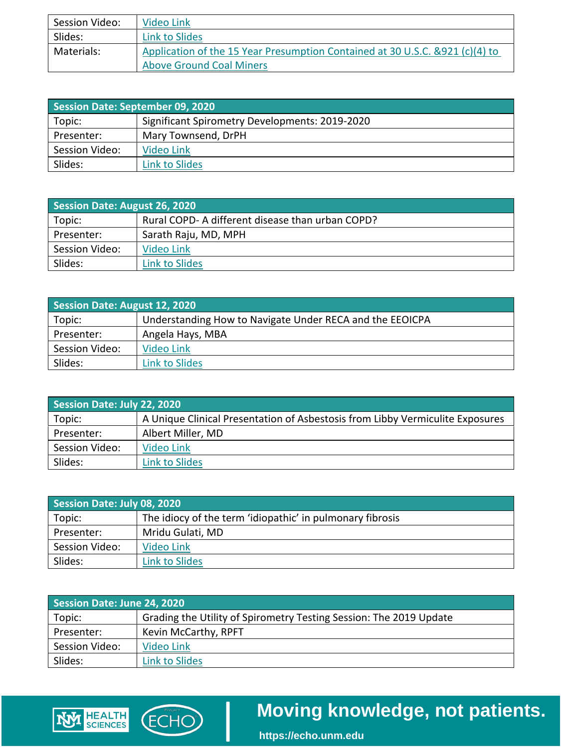| Session Video: | Video Link                                                                    |
|----------------|-------------------------------------------------------------------------------|
| Slides:        | Link to Slides                                                                |
| Materials:     | Application of the 15 Year Presumption Contained at 30 U.S.C. & 921 (c)(4) to |
|                | <b>Above Ground Coal Miners</b>                                               |

| Session Date: September 09, 2020 |                                                |
|----------------------------------|------------------------------------------------|
| Topic:                           | Significant Spirometry Developments: 2019-2020 |
| Presenter:                       | Mary Townsend, DrPH                            |
| Session Video:                   | Video Link                                     |
| Slides:                          | Link to Slides                                 |

| <b>Session Date: August 26, 2020</b> |                                                  |
|--------------------------------------|--------------------------------------------------|
| Topic:                               | Rural COPD- A different disease than urban COPD? |
| Presenter:                           | Sarath Raju, MD, MPH                             |
| Session Video:                       | Video Link                                       |
| Slides:                              | <b>Link to Slides</b>                            |

| <b>Session Date: August 12, 2020</b> |                                                          |
|--------------------------------------|----------------------------------------------------------|
| Topic:                               | Understanding How to Navigate Under RECA and the EEOICPA |
| Presenter:                           | Angela Hays, MBA                                         |
| Session Video:                       | Video Link                                               |
| Slides:                              | <b>Link to Slides</b>                                    |

| Session Date: July 22, 2020 |                                                                               |
|-----------------------------|-------------------------------------------------------------------------------|
| Topic:                      | A Unique Clinical Presentation of Asbestosis from Libby Vermiculite Exposures |
| Presenter:                  | Albert Miller, MD                                                             |
| Session Video:              | Video Link                                                                    |
| Slides:                     | <b>Link to Slides</b>                                                         |

| Session Date: July 08, 2020 |                                                           |
|-----------------------------|-----------------------------------------------------------|
| Topic:                      | The idiocy of the term 'idiopathic' in pulmonary fibrosis |
| Presenter:                  | Mridu Gulati, MD                                          |
| Session Video:              | Video Link                                                |
| Slides:                     | Link to Slides                                            |

| Session Date: June 24, 2020 |                                                                    |
|-----------------------------|--------------------------------------------------------------------|
| Topic:                      | Grading the Utility of Spirometry Testing Session: The 2019 Update |
| Presenter:                  | Kevin McCarthy, RPFT                                               |
| Session Video:              | Video Link                                                         |
| Slides:                     | Link to Slides                                                     |
|                             |                                                                    |

(ECHO)

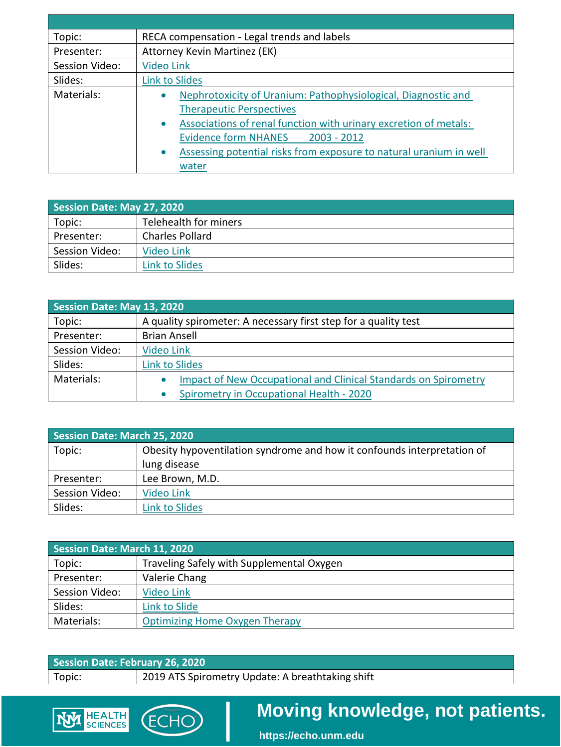| Topic:         | RECA compensation - Legal trends and labels                                                                                                                                                                                                                                                                    |
|----------------|----------------------------------------------------------------------------------------------------------------------------------------------------------------------------------------------------------------------------------------------------------------------------------------------------------------|
| Presenter:     | Attorney Kevin Martinez (EK)                                                                                                                                                                                                                                                                                   |
| Session Video: | <b>Video Link</b>                                                                                                                                                                                                                                                                                              |
| Slides:        | <b>Link to Slides</b>                                                                                                                                                                                                                                                                                          |
| Materials:     | Nephrotoxicity of Uranium: Pathophysiological, Diagnostic and<br>٠<br><b>Therapeutic Perspectives</b><br>Associations of renal function with urinary excretion of metals:<br>$\bullet$<br>Evidence form NHANES 2003 - 2012<br>Assessing potential risks from exposure to natural uranium in well<br>۰<br>water |

| Session Date: May 27, 2020 |                        |
|----------------------------|------------------------|
| Topic:                     | Telehealth for miners  |
| Presenter:                 | <b>Charles Pollard</b> |
| Session Video:             | Video Link             |
| Slides:                    | Link to Slides         |

| Session Date: May 13, 2020 |                                                                 |
|----------------------------|-----------------------------------------------------------------|
| Topic:                     | A quality spirometer: A necessary first step for a quality test |
| Presenter:                 | <b>Brian Ansell</b>                                             |
| Session Video:             | Video Link                                                      |
| Slides:                    | <b>Link to Slides</b>                                           |
| Materials:                 | Impact of New Occupational and Clinical Standards on Spirometry |
|                            | Spirometry in Occupational Health - 2020                        |

| <b>Session Date: March 25, 2020</b> |                                                                         |
|-------------------------------------|-------------------------------------------------------------------------|
| Topic:                              | Obesity hypoventilation syndrome and how it confounds interpretation of |
|                                     | lung disease                                                            |
| Presenter:                          | Lee Brown, M.D.                                                         |
| Session Video:                      | Video Link                                                              |
| Slides:                             | <b>Link to Slides</b>                                                   |

| <b>Session Date: March 11, 2020</b> |                                           |
|-------------------------------------|-------------------------------------------|
| Topic:                              | Traveling Safely with Supplemental Oxygen |
| Presenter:                          | Valerie Chang                             |
| Session Video:                      | Video Link                                |
| Slides:                             | <b>Link to Slide</b>                      |
| Materials:                          | <b>Optimizing Home Oxygen Therapy</b>     |
|                                     |                                           |

| Session Date: February 26, 2020 |                                                  |
|---------------------------------|--------------------------------------------------|
| Topic:                          | 2019 ATS Spirometry Update: A breathtaking shift |

(ECHO)

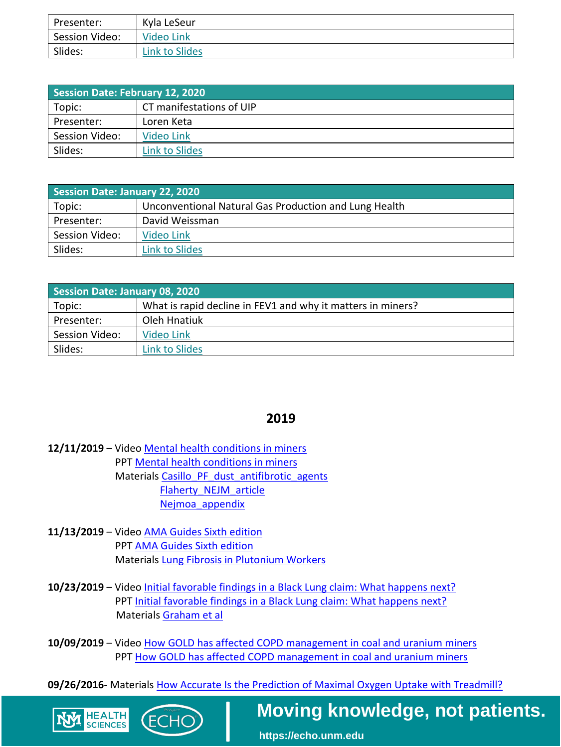| Presenter:     | Kyla LeSeur    |
|----------------|----------------|
| Session Video: | Video Link     |
| Slides:        | Link to Slides |

| Session Date: February 12, 2020 |                          |
|---------------------------------|--------------------------|
| Topic:                          | CT manifestations of UIP |
| Presenter:                      | Loren Keta               |
| Session Video:                  | Video Link               |
| Slides:                         | <b>Link to Slides</b>    |

| <b>Session Date: January 22, 2020</b> |                                                       |
|---------------------------------------|-------------------------------------------------------|
| Topic:                                | Unconventional Natural Gas Production and Lung Health |
| Presenter:                            | David Weissman                                        |
| Session Video:                        | Video Link                                            |
| Slides:                               | Link to Slides                                        |

| Session Date: January 08, 2020 |                                                             |
|--------------------------------|-------------------------------------------------------------|
| Topic:                         | What is rapid decline in FEV1 and why it matters in miners? |
| Presenter:                     | Oleh Hnatiuk                                                |
| Session Video:                 | Video Link                                                  |
| Slides:                        | Link to Slides                                              |

#### **2019**

- **12/11/2019**  Video [Mental health conditions in miners](https://www.youtube.com/watch?v=jICzrSBYsNE&feature=youtu.be)  PPT Mental health conditions in miners Materials Casillo PF dust antifibrotic agents [Flaherty\\_NEJM\\_article](https://iecho.unm.edu/sites/unm/download.hns?i=24878)  [Nejmoa\\_appendix](https://iecho.unm.edu/sites/unm/download.hns?i=24879)
- **11/13/2019**  Video [AMA Guides Sixth edition](https://www.youtube.com/watch?v=xUy9lQcKptM&feature=youtu.be)  PPT [AMA Guides Sixth edition](https://iecho.unm.edu/sites/unm/download.hns?i=24569)  Material[s Lung Fibrosis in Plutonium Workers](https://iecho.unm.edu/sites/unm/download.hns?i=24720)

**HEALTH SCIENCES** 

- 10/23/2019 Video *Initial favorable findings in a Black Lung claim: What happens next?* PPT Initial favorable findings in a Black Lung claim: What happens next? Material[s Graham et al](https://iecho.unm.edu/sites/unm/download.hns?i=24577)
- 10/09/2019 Video How GOLD has affected COPD management in coal and uranium miners PPT [How GOLD has affected COPD management in coal and uranium miners](https://iecho.unm.edu/sites/unm/download.hns?i=24402)

 **09/26/2016-** Material[s How Accurate Is the Prediction of Maximal Oxygen Uptake with Treadmill?](https://www.ncbi.nlm.nih.gov/pmc/articles/PMC5119771/pdf/pone.0166608.pdf) 

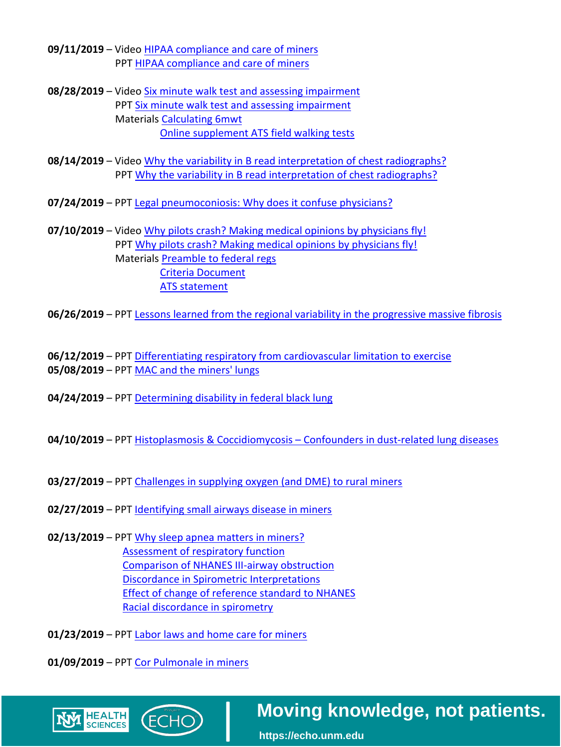- **09/11/2019**  Video [HIPAA compliance and care of miners](https://youtu.be/bE5fVHICuzE)  PPT [HIPAA compliance and care of miners](https://iecho.unm.edu/sites/unm/download.hns?i=24074)
- 08/28/2019 Video Six minute walk test and assessing impairment PPT Six minute walk test and assessing impairment Material[s Calculating 6mwt](https://iecho.unm.edu/sites/unm/download.hns?i=24082)  [Online supplement ATS field walking tests](https://iecho.unm.edu/sites/unm/download.hns?i=24083)
- **08/14/2019**  Video [Why the variability in B read interpretation of chest radiographs?](https://youtu.be/UL-J98lOcrA)  PPT Why the variability in B read interpretation of chest radiographs?
- **07/24/2019**  PP[T Legal pneumoconiosis: Why does it confuse physicians?](https://iecho.unm.edu/sites/unm/download.hns?i=23614)
- **07/10/2019**  Video [Why pilots crash? Making medical opinions by physicians fly!](https://youtu.be/WhRYtuRi3bw)  PPT Why pilots crash? Making medical opinions by physicians fly! Material[s Preamble to federal regs](https://iecho.unm.edu/sites/unm/download.hns?i=23616)  [Criteria Document](https://iecho.unm.edu/sites/unm/download.hns?i=23617)  [ATS statement](https://iecho.unm.edu/sites/unm/download.hns?i=23618)

**06/26/2019** – PP[T Lessons learned from the regional variability in the progressive massive fibrosis](https://iecho.unm.edu/sites/unm/download.hns?i=23417) 

 **06/12/2019** – PP[T Differentiating respiratory from cardiovascular limitation to exercise](https://iecho.unm.edu/sites/unm/download.hns?i=23297)  **05/08/2019** – PP[T MAC and the miners' lungs](https://iecho.unm.edu/sites/unm/download.hns?i=23139) 

- **04/24/2019**  PP[T Determining disability in federal black lung](https://iecho.unm.edu/sites/unm/download.hns?i=23050)
- **04/10/2019**  PP[T Histoplasmosis & Coccidiomycosis Confounders in dust-related lung diseases](https://iecho.unm.edu/sites/unm/download.hns?i=22911)
- **03/27/2019**  PP[T Challenges in supplying oxygen \(and DME\) to rural miners](https://iecho.unm.edu/sites/unm/download.hns?i=22605)
- **02/27/2019**  PP[T Identifying small airways disease in miners](https://iecho.unm.edu/sites/unm/download.hns?i=22577)
- **02/13/2019**  PP[T Why sleep apnea matters in miners?](https://iecho.unm.edu/sites/unm/download.hns?i=22483)  [Assessment of respiratory function](https://iecho.unm.edu/sites/unm/download.hns?i=22525)  [Comparison of NHANES III-airway obstruction](https://iecho.unm.edu/sites/unm/download.hns?i=22526)  [Discordance in Spirometric Interpretations](https://iecho.unm.edu/sites/unm/download.hns?i=22527)  [Effect of change of reference standard to NHANES](https://iecho.unm.edu/sites/unm/download.hns?i=22528)  [Racial discordance in spirometry](https://iecho.unm.edu/sites/unm/download.hns?i=22529)
- **01/23/2019**  PP[T Labor laws and home care for miners](https://iecho.unm.edu/sites/unm/download.hns?i=22335)

**01/09/2019** – PP[T Cor Pulmonale in miners](https://iecho.unm.edu/sites/unm/download.hns?i=22174) 

HEALTH<br>SCIENCES

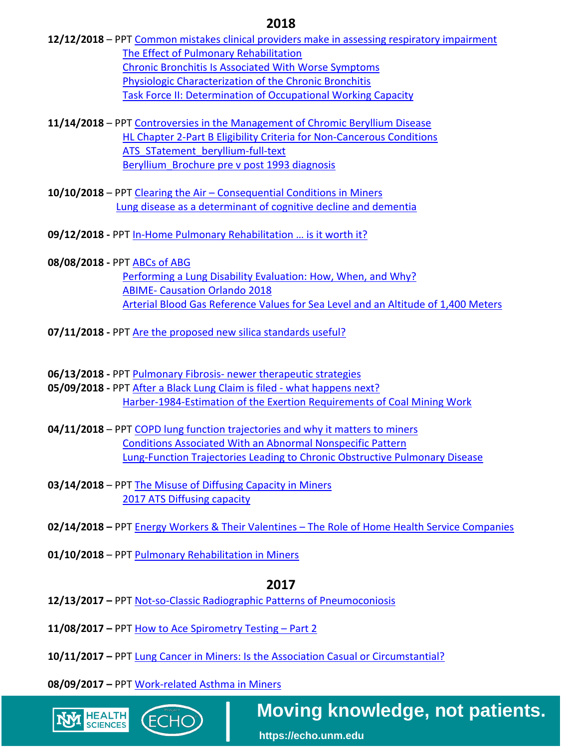#### **2018**

- **12/12/2018**  PP[T Common mistakes clinical providers make in assessing respiratory impairment](https://iecho.unm.edu/sites/unm/download.hns?i=22172)  [The Effect of Pulmonary Rehabilitation](https://iecho.unm.edu/sites/unm/download.hns?i=22253)  [Chronic Bronchitis Is Associated With Worse Symptoms](https://iecho.unm.edu/sites/unm/download.hns?i=22252)  [Physiologic Characterization of the Chronic Bronchitis](https://iecho.unm.edu/sites/unm/download.hns?i=22251)  [Task Force II: Determination of Occupational Working Capacity](https://iecho.unm.edu/sites/unm/download.hns?i=22250)
- **11/14/2018**  PP[T Controversies in the Management of Chromic Beryllium Disease](https://iecho.unm.edu/sites/unm/download.hns?i=22023)  [HL Chapter 2-Part B Eligibility Criteria for Non-Cancerous Conditions](https://iecho.unm.edu/sites/unm/download.hns?i=22059)  ATS STatement beryllium-full-text [Beryllium\\_Brochure pre v post 1993 diagnosis](https://iecho.unm.edu/sites/unm/download.hns?i=22061)
- **10/10/2018**  PP[T Clearing the Air Consequential Conditions in Miners](https://iecho.unm.edu/sites/unm/download.hns?i=21747)  [Lung disease as a determinant of cognitive decline and dementia](https://iecho.unm.edu/sites/unm/download.hns?i=21803)
- **09/12/2018 -** PP[T In-Home Pulmonary Rehabilitation … is it worth it?](https://iecho.unm.edu/sites/unm/download.hns?i=21591)
- **08/08/2018 -** PP[T ABCs of ABG](https://iecho.unm.edu/sites/unm/download.hns?i=21419)  [Performing a Lung Disability Evaluation: How, When, and Why?](https://iecho.unm.edu/sites/unm/download.hns?i=21444)  ABIME- [Causation Orlando 2018](https://iecho.unm.edu/sites/unm/download.hns?i=21471)  [Arterial Blood Gas Reference Values for Sea Level and an Altitude of 1,400 Meters](https://iecho.unm.edu/sites/unm/download.hns?i=21472)
- **07/11/2018 -** PPT Are the proposed new silica standards useful?
- 06/13/2018 PPT **Pulmonary Fibrosis- newer therapeutic strategies**
- **05/09/2018 -** PP[T After a Black Lung Claim is filed -](https://iecho.unm.edu/sites/unm/download.hns?i=20892) what happens next? [Harber-1984-Estimation of the Exertion Requirements of Coal Mining Work](https://iecho.unm.edu/sites/unm/download.hns?i=20914)
- **04/11/2018**  PP[T COPD lung function trajectories and why it matters to miners](https://iecho.unm.edu/sites/unm/download.hns?i=20628)  [Conditions Associated With an Abnormal Nonspecific Pattern](https://iecho.unm.edu/sites/unm/download.hns?i=20699)  [Lung-Function Trajectories Leading to Chronic Obstructive Pulmonary Disease](https://iecho.unm.edu/sites/unm/download.hns?i=20698)
- **03/14/2018**  PP[T The Misuse of Diffusing Capacity in Miners](https://iecho.unm.edu/sites/unm/download.hns?i=20448)  [2017 ATS Diffusing capacity](https://iecho.unm.edu/sites/unm/download.hns?i=20499)
- **02/14/2018** PPT Energy Workers & Their Valentines The Role of Home Health Service Companies
- **01/10/2018**  PPT Pulmonary Rehabilitation in Miners

#### **2017**

- **12/13/2017** PPT Not-so-Classic Radiographic Patterns of Pneumoconiosis
- **11/08/2017** PPT How to Ace Spirometry Testing Part 2
- **10/11/2017** PPT Lung Cancer in Miners: Is the Association Casual or Circumstantial?

**08/09/2017 –** PPT Work-related Asthma in Miners